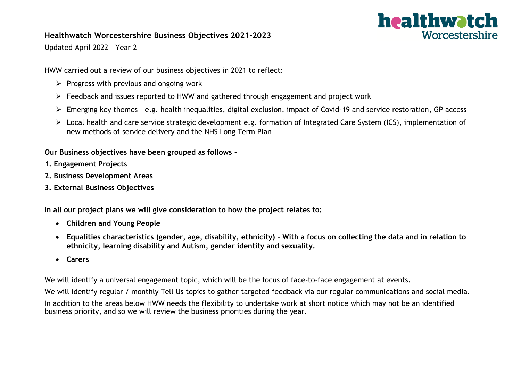## **Healthwatch Worcestershire Business Objectives 2021-2023**



Updated April 2022 – Year 2

HWW carried out a review of our business objectives in 2021 to reflect:

- $\triangleright$  Progress with previous and ongoing work
- ➢ Feedback and issues reported to HWW and gathered through engagement and project work
- ➢ Emerging key themes e.g. health inequalities, digital exclusion, impact of Covid-19 and service restoration, GP access
- ➢ Local health and care service strategic development e.g. formation of Integrated Care System (ICS), implementation of new methods of service delivery and the NHS Long Term Plan

**Our Business objectives have been grouped as follows -**

- **1. Engagement Projects**
- **2. Business Development Areas**
- **3. External Business Objectives**

**In all our project plans we will give consideration to how the project relates to:**

- **Children and Young People**
- **Equalities characteristics (gender, age, disability, ethnicity) – With a focus on collecting the data and in relation to ethnicity, learning disability and Autism, gender identity and sexuality.**
- **Carers**

We will identify a universal engagement topic, which will be the focus of face-to-face engagement at events.

We will identify regular / monthly Tell Us topics to gather targeted feedback via our regular communications and social media.

In addition to the areas below HWW needs the flexibility to undertake work at short notice which may not be an identified business priority, and so we will review the business priorities during the year.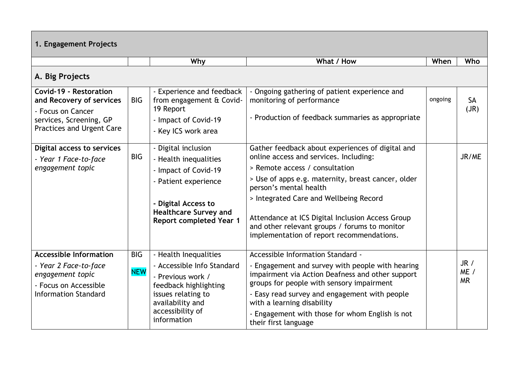| 1. Engagement Projects                                                                                                                 |                          |                                                                                                                                                                                       |                                                                                                                                                                                                                                                                                                                                                                                                          |         |                           |
|----------------------------------------------------------------------------------------------------------------------------------------|--------------------------|---------------------------------------------------------------------------------------------------------------------------------------------------------------------------------------|----------------------------------------------------------------------------------------------------------------------------------------------------------------------------------------------------------------------------------------------------------------------------------------------------------------------------------------------------------------------------------------------------------|---------|---------------------------|
|                                                                                                                                        |                          | Why                                                                                                                                                                                   | What / How                                                                                                                                                                                                                                                                                                                                                                                               | When    | Who                       |
| A. Big Projects                                                                                                                        |                          |                                                                                                                                                                                       |                                                                                                                                                                                                                                                                                                                                                                                                          |         |                           |
| Covid-19 - Restoration<br>and Recovery of services<br>- Focus on Cancer<br>services, Screening, GP<br><b>Practices and Urgent Care</b> | <b>BIG</b>               | - Experience and feedback<br>from engagement & Covid-<br>19 Report<br>- Impact of Covid-19<br>- Key ICS work area                                                                     | - Ongoing gathering of patient experience and<br>monitoring of performance<br>- Production of feedback summaries as appropriate                                                                                                                                                                                                                                                                          | ongoing | <b>SA</b><br>(JR)         |
| Digital access to services<br>- Year 1 Face-to-face<br>engagement topic                                                                | <b>BIG</b>               | - Digital inclusion<br>- Health inequalities<br>- Impact of Covid-19<br>- Patient experience<br>- Digital Access to<br><b>Healthcare Survey and</b><br><b>Report completed Year 1</b> | Gather feedback about experiences of digital and<br>online access and services. Including:<br>> Remote access / consultation<br>> Use of apps e.g. maternity, breast cancer, older<br>person's mental health<br>> Integrated Care and Wellbeing Record<br>Attendance at ICS Digital Inclusion Access Group<br>and other relevant groups / forums to monitor<br>implementation of report recommendations. |         | JR/ME                     |
| <b>Accessible Information</b><br>- Year 2 Face-to-face<br>engagement topic<br>- Focus on Accessible<br><b>Information Standard</b>     | <b>BIG</b><br><b>NEW</b> | - Health Inequalities<br>- Accessible Info Standard<br>- Previous work /<br>feedback highlighting<br>issues relating to<br>availability and<br>accessibility of<br>information        | Accessible Information Standard -<br>- Engagement and survey with people with hearing<br>impairment via Action Deafness and other support<br>groups for people with sensory impairment<br>- Easy read survey and engagement with people<br>with a learning disability<br>- Engagement with those for whom English is not<br>their first language                                                         |         | JR /<br>ME /<br><b>MR</b> |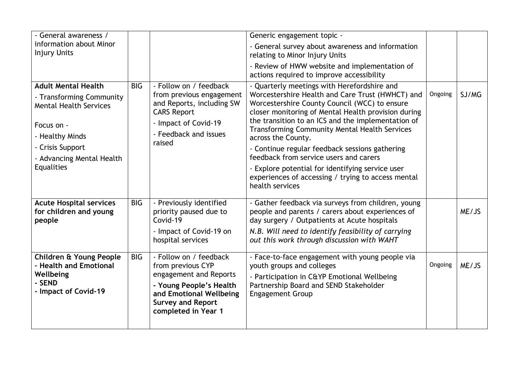| - General awareness /                                                                                                                        |            |                                                                                                                                                                                | Generic engagement topic -                                                                                                                                                                                                                                                                                                                                                                    |         |       |
|----------------------------------------------------------------------------------------------------------------------------------------------|------------|--------------------------------------------------------------------------------------------------------------------------------------------------------------------------------|-----------------------------------------------------------------------------------------------------------------------------------------------------------------------------------------------------------------------------------------------------------------------------------------------------------------------------------------------------------------------------------------------|---------|-------|
| information about Minor<br><b>Injury Units</b>                                                                                               |            |                                                                                                                                                                                | - General survey about awareness and information<br>relating to Minor Injury Units                                                                                                                                                                                                                                                                                                            |         |       |
|                                                                                                                                              |            |                                                                                                                                                                                | - Review of HWW website and implementation of<br>actions required to improve accessibility                                                                                                                                                                                                                                                                                                    |         |       |
| <b>Adult Mental Health</b><br>- Transforming Community<br><b>Mental Health Services</b><br>Focus on -<br>- Healthy Minds<br>- Crisis Support | <b>BIG</b> | - Follow on / feedback<br>from previous engagement<br>and Reports, including SW<br><b>CARS Report</b><br>- Impact of Covid-19<br>- Feedback and issues<br>raised               | - Quarterly meetings with Herefordshire and<br>Worcestershire Health and Care Trust (HWHCT) and<br>Worcestershire County Council (WCC) to ensure<br>closer monitoring of Mental Health provision during<br>the transition to an ICS and the implementation of<br><b>Transforming Community Mental Health Services</b><br>across the County.<br>- Continue regular feedback sessions gathering | Ongoing | SJ/MG |
| - Advancing Mental Health<br>Equalities                                                                                                      |            |                                                                                                                                                                                | feedback from service users and carers<br>- Explore potential for identifying service user<br>experiences of accessing / trying to access mental<br>health services                                                                                                                                                                                                                           |         |       |
| <b>Acute Hospital services</b><br>for children and young<br>people                                                                           | <b>BIG</b> | - Previously identified<br>priority paused due to<br>Covid-19<br>- Impact of Covid-19 on<br>hospital services                                                                  | - Gather feedback via surveys from children, young<br>people and parents / carers about experiences of<br>day surgery / Outpatients at Acute hospitals<br>N.B. Will need to identify feasibility of carrying<br>out this work through discussion with WAHT                                                                                                                                    |         | ME/JS |
| Children & Young People<br>- Health and Emotional<br>Wellbeing<br>- SEND<br>- Impact of Covid-19                                             | <b>BIG</b> | - Follow on / feedback<br>from previous CYP<br>engagement and Reports<br>- Young People's Health<br>and Emotional Wellbeing<br><b>Survey and Report</b><br>completed in Year 1 | - Face-to-face engagement with young people via<br>youth groups and colleges<br>- Participation in C&YP Emotional Wellbeing<br>Partnership Board and SEND Stakeholder<br><b>Engagement Group</b>                                                                                                                                                                                              | Ongoing | ME/JS |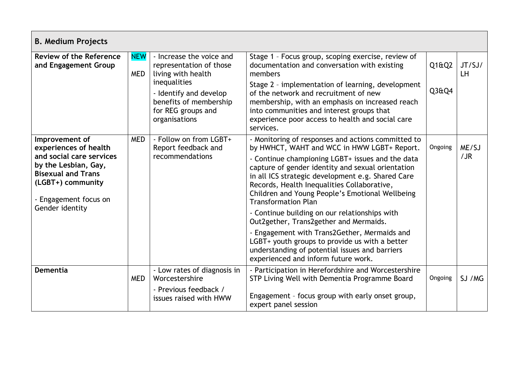| <b>B. Medium Projects</b>                                                                                                                                                                 |                          |                                                                                                                                                                                      |                                                                                                                                                                                                                                                                                                                                                                                                                                                                                                                                                                                                                                                                                       |                |              |  |
|-------------------------------------------------------------------------------------------------------------------------------------------------------------------------------------------|--------------------------|--------------------------------------------------------------------------------------------------------------------------------------------------------------------------------------|---------------------------------------------------------------------------------------------------------------------------------------------------------------------------------------------------------------------------------------------------------------------------------------------------------------------------------------------------------------------------------------------------------------------------------------------------------------------------------------------------------------------------------------------------------------------------------------------------------------------------------------------------------------------------------------|----------------|--------------|--|
| <b>Review of the Reference</b><br>and Engagement Group                                                                                                                                    | <b>NEW</b><br><b>MED</b> | - Increase the voice and<br>representation of those<br>living with health<br>inequalities<br>- Identify and develop<br>benefits of membership<br>for REG groups and<br>organisations | Stage 1 - Focus group, scoping exercise, review of<br>documentation and conversation with existing<br>members<br>Stage 2 - implementation of learning, development<br>of the network and recruitment of new<br>membership, with an emphasis on increased reach<br>into communities and interest groups that<br>experience poor access to health and social care<br>services.                                                                                                                                                                                                                                                                                                          | Q1@Q2<br>Q3&Q4 | JT/SJ/<br>LH |  |
| Improvement of<br>experiences of health<br>and social care services<br>by the Lesbian, Gay,<br><b>Bisexual and Trans</b><br>(LGBT+) community<br>- Engagement focus on<br>Gender identity | <b>MED</b>               | - Follow on from LGBT+<br>Report feedback and<br>recommendations                                                                                                                     | - Monitoring of responses and actions committed to<br>by HWHCT, WAHT and WCC in HWW LGBT+ Report.<br>- Continue championing LGBT+ issues and the data<br>capture of gender identity and sexual orientation<br>in all ICS strategic development e.g. Shared Care<br>Records, Health Inequalities Collaborative,<br>Children and Young People's Emotional Wellbeing<br><b>Transformation Plan</b><br>- Continue building on our relationships with<br>Out2gether, Trans2gether and Mermaids.<br>- Engagement with Trans2Gether, Mermaids and<br>LGBT+ youth groups to provide us with a better<br>understanding of potential issues and barriers<br>experienced and inform future work. | Ongoing        | ME/SJ<br>/JR |  |
| Dementia                                                                                                                                                                                  | <b>MED</b>               | - Low rates of diagnosis in<br>Worcestershire<br>- Previous feedback /<br>issues raised with HWW                                                                                     | - Participation in Herefordshire and Worcestershire<br>STP Living Well with Dementia Programme Board<br>Engagement - focus group with early onset group,<br>expert panel session                                                                                                                                                                                                                                                                                                                                                                                                                                                                                                      | Ongoing        | SJ / MG      |  |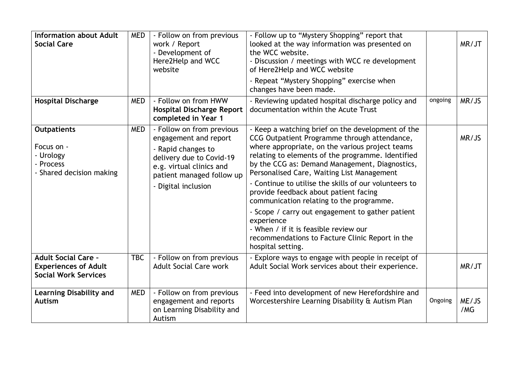| <b>Information about Adult</b><br><b>Social Care</b>                                     | <b>MED</b> | - Follow on from previous<br>work / Report<br>- Development of<br>Here2Help and WCC<br>website                                                                                       | - Follow up to "Mystery Shopping" report that<br>looked at the way information was presented on<br>the WCC website.<br>- Discussion / meetings with WCC re development<br>of Here2Help and WCC website<br>- Repeat "Mystery Shopping" exercise when<br>changes have been made.                                                                                                                                                                                                                                                                                                                                                             |         | MR/JT        |
|------------------------------------------------------------------------------------------|------------|--------------------------------------------------------------------------------------------------------------------------------------------------------------------------------------|--------------------------------------------------------------------------------------------------------------------------------------------------------------------------------------------------------------------------------------------------------------------------------------------------------------------------------------------------------------------------------------------------------------------------------------------------------------------------------------------------------------------------------------------------------------------------------------------------------------------------------------------|---------|--------------|
| <b>Hospital Discharge</b>                                                                | <b>MED</b> | - Follow on from HWW<br><b>Hospital Discharge Report</b><br>completed in Year 1                                                                                                      | ongoing<br>- Reviewing updated hospital discharge policy and<br>documentation within the Acute Trust                                                                                                                                                                                                                                                                                                                                                                                                                                                                                                                                       |         | MR/JS        |
| <b>Outpatients</b><br>Focus on -<br>- Urology<br>- Process<br>- Shared decision making   | <b>MED</b> | - Follow on from previous<br>engagement and report<br>- Rapid changes to<br>delivery due to Covid-19<br>e.g. virtual clinics and<br>patient managed follow up<br>- Digital inclusion | - Keep a watching brief on the development of the<br>CCG Outpatient Programme through attendance,<br>where appropriate, on the various project teams<br>relating to elements of the programme. Identified<br>by the CCG as: Demand Management, Diagnostics,<br>Personalised Care, Waiting List Management<br>- Continue to utilise the skills of our volunteers to<br>provide feedback about patient facing<br>communication relating to the programme.<br>- Scope / carry out engagement to gather patient<br>experience<br>- When / if it is feasible review our<br>recommendations to Facture Clinic Report in the<br>hospital setting. |         | MR/JS        |
| <b>Adult Social Care -</b><br><b>Experiences of Adult</b><br><b>Social Work Services</b> | <b>TBC</b> | - Follow on from previous<br><b>Adult Social Care work</b>                                                                                                                           | - Explore ways to engage with people in receipt of<br>Adult Social Work services about their experience.                                                                                                                                                                                                                                                                                                                                                                                                                                                                                                                                   |         | MR/JT        |
| <b>Learning Disability and</b><br><b>Autism</b>                                          | <b>MED</b> | - Follow on from previous<br>engagement and reports<br>on Learning Disability and<br>Autism                                                                                          | - Feed into development of new Herefordshire and<br>Worcestershire Learning Disability & Autism Plan                                                                                                                                                                                                                                                                                                                                                                                                                                                                                                                                       | Ongoing | ME/JS<br>/MG |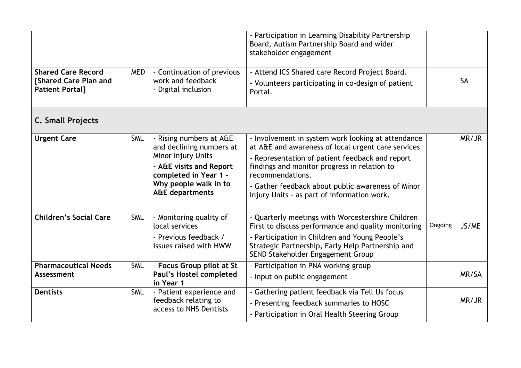| <b>Shared Care Record</b>                             | <b>MED</b>                               | - Continuation of previous                                                                                                                                                                  | - Participation in Learning Disability Partnership<br>Board, Autism Partnership Board and wider<br>stakeholder engagement<br>- Attend ICS Shared care Record Project Board.                                                                                                                                                         |           |       |
|-------------------------------------------------------|------------------------------------------|---------------------------------------------------------------------------------------------------------------------------------------------------------------------------------------------|-------------------------------------------------------------------------------------------------------------------------------------------------------------------------------------------------------------------------------------------------------------------------------------------------------------------------------------|-----------|-------|
| <b>Shared Care Plan and</b><br><b>Patient Portal]</b> | work and feedback<br>- Digital inclusion | - Volunteers participating in co-design of patient<br>Portal.                                                                                                                               |                                                                                                                                                                                                                                                                                                                                     | <b>SA</b> |       |
| <b>C. Small Projects</b>                              |                                          |                                                                                                                                                                                             |                                                                                                                                                                                                                                                                                                                                     |           |       |
| <b>Urgent Care</b>                                    | <b>SML</b>                               | - Rising numbers at A&E<br>and declining numbers at<br><b>Minor Injury Units</b><br>- A&E visits and Report<br>completed in Year 1 -<br>Why people walk in to<br><b>A&amp;E</b> departments | - Involvement in system work looking at attendance<br>at A&E and awareness of local urgent care services<br>- Representation of patient feedback and report<br>findings and monitor progress in relation to<br>recommendations.<br>- Gather feedback about public awareness of Minor<br>Injury Units - as part of information work. |           | MR/JR |
| <b>Children's Social Care</b>                         | <b>SML</b>                               | - Monitoring quality of<br>local services<br>- Previous feedback /<br>issues raised with HWW                                                                                                | - Quarterly meetings with Worcestershire Children<br>First to discuss performance and quality monitoring<br>- Participation in Children and Young People's<br>Strategic Partnership, Early Help Partnership and<br>SEND Stakeholder Engagement Group                                                                                | Ongoing   | JS/ME |
| <b>Pharmaceutical Needs</b><br>Assessment             | <b>SML</b>                               | - Focus Group pilot at St<br>Paul's Hostel completed<br>in Year 1                                                                                                                           | - Participation in PNA working group<br>- Input on public engagement                                                                                                                                                                                                                                                                |           | MR/SA |
| <b>Dentists</b>                                       | <b>SML</b>                               | - Patient experience and<br>feedback relating to<br>access to NHS Dentists                                                                                                                  | - Gathering patient feedback via Tell Us focus<br>- Presenting feedback summaries to HOSC<br>- Participation in Oral Health Steering Group                                                                                                                                                                                          |           | MR/JR |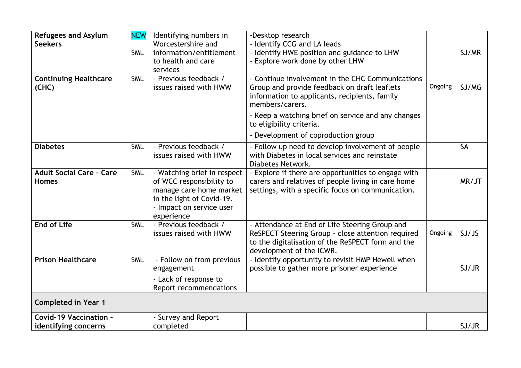| <b>Refugees and Asylum</b>      | <b>NEW</b> | Identifying numbers in      | -Desktop research                                                                             |         |           |
|---------------------------------|------------|-----------------------------|-----------------------------------------------------------------------------------------------|---------|-----------|
| <b>Seekers</b>                  |            | Worcestershire and          | - Identify CCG and LA leads                                                                   |         |           |
|                                 | <b>SML</b> | information/entitlement     | - Identify HWE position and guidance to LHW                                                   |         | SJ/MR     |
|                                 |            | to health and care          | - Explore work done by other LHW                                                              |         |           |
|                                 |            | services                    |                                                                                               |         |           |
| <b>Continuing Healthcare</b>    | <b>SML</b> | - Previous feedback /       | - Continue involvement in the CHC Communications                                              | Ongoing |           |
| (CHC)                           |            | issues raised with HWW      | Group and provide feedback on draft leaflets<br>information to applicants, recipients, family |         | SJ/MG     |
|                                 |            |                             | members/carers.                                                                               |         |           |
|                                 |            |                             | - Keep a watching brief on service and any changes                                            |         |           |
|                                 |            |                             | to eligibility criteria.                                                                      |         |           |
|                                 |            |                             | - Development of coproduction group                                                           |         |           |
|                                 |            |                             |                                                                                               |         |           |
| <b>Diabetes</b>                 | <b>SML</b> | - Previous feedback /       | - Follow up need to develop involvement of people                                             |         | <b>SA</b> |
|                                 |            | issues raised with HWW      | with Diabetes in local services and reinstate<br>Diabetes Network.                            |         |           |
| <b>Adult Social Care - Care</b> | <b>SML</b> | - Watching brief in respect | - Explore if there are opportunities to engage with                                           |         |           |
| <b>Homes</b>                    |            | of WCC responsibility to    | carers and relatives of people living in care home                                            |         | MR/JT     |
|                                 |            | manage care home market     | settings, with a specific focus on communication.                                             |         |           |
|                                 |            | in the light of Covid-19.   |                                                                                               |         |           |
|                                 |            | - Impact on service user    |                                                                                               |         |           |
|                                 |            | experience                  |                                                                                               |         |           |
| <b>End of Life</b>              | <b>SML</b> | - Previous feedback /       | - Attendance at End of Life Steering Group and                                                |         |           |
|                                 |            | issues raised with HWW      | ReSPECT Steering Group - close attention required                                             | Ongoing | SJ/JS     |
|                                 |            |                             | to the digitalisation of the ReSPECT form and the                                             |         |           |
|                                 |            |                             | development of the ICWR.                                                                      |         |           |
| <b>Prison Healthcare</b>        | <b>SML</b> | - Follow on from previous   | - Identify opportunity to revisit HMP Hewell when                                             |         |           |
|                                 |            | engagement                  | possible to gather more prisoner experience                                                   |         | SJ/JR     |
|                                 |            | - Lack of response to       |                                                                                               |         |           |
|                                 |            | Report recommendations      |                                                                                               |         |           |
| <b>Completed in Year 1</b>      |            |                             |                                                                                               |         |           |
| <b>Covid-19 Vaccination -</b>   |            | - Survey and Report         |                                                                                               |         |           |
| identifying concerns            |            | completed                   |                                                                                               |         | SJ/JR     |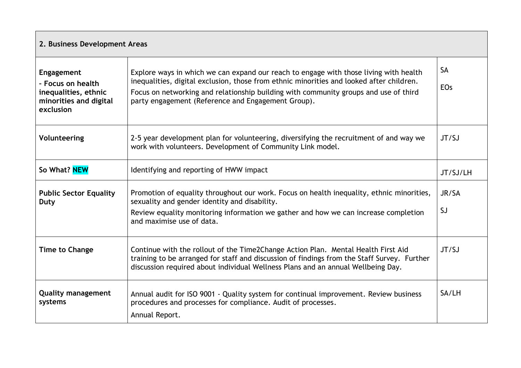| 2. Business Development Areas                                                                  |                                                                                                                                                                                                                                                                                                                                 |                         |  |  |  |
|------------------------------------------------------------------------------------------------|---------------------------------------------------------------------------------------------------------------------------------------------------------------------------------------------------------------------------------------------------------------------------------------------------------------------------------|-------------------------|--|--|--|
| Engagement<br>- Focus on health<br>inequalities, ethnic<br>minorities and digital<br>exclusion | Explore ways in which we can expand our reach to engage with those living with health<br>inequalities, digital exclusion, those from ethnic minorities and looked after children.<br>Focus on networking and relationship building with community groups and use of third<br>party engagement (Reference and Engagement Group). | <b>SA</b><br><b>EOs</b> |  |  |  |
| Volunteering                                                                                   | 2-5 year development plan for volunteering, diversifying the recruitment of and way we<br>work with volunteers. Development of Community Link model.                                                                                                                                                                            | JT/SJ                   |  |  |  |
| So What? NEW                                                                                   | Identifying and reporting of HWW impact                                                                                                                                                                                                                                                                                         | JT/SJ/LH                |  |  |  |
| <b>Public Sector Equality</b><br>Duty                                                          | Promotion of equality throughout our work. Focus on health inequality, ethnic minorities,<br>sexuality and gender identity and disability.<br>Review equality monitoring information we gather and how we can increase completion<br>and maximise use of data.                                                                  | JR/SA<br>SJ             |  |  |  |
| <b>Time to Change</b>                                                                          | Continue with the rollout of the Time2Change Action Plan. Mental Health First Aid<br>training to be arranged for staff and discussion of findings from the Staff Survey. Further<br>discussion required about individual Wellness Plans and an annual Wellbeing Day.                                                            | JT/SJ                   |  |  |  |
| <b>Quality management</b><br>systems                                                           | Annual audit for ISO 9001 - Quality system for continual improvement. Review business<br>procedures and processes for compliance. Audit of processes.<br>Annual Report.                                                                                                                                                         | SA/LH                   |  |  |  |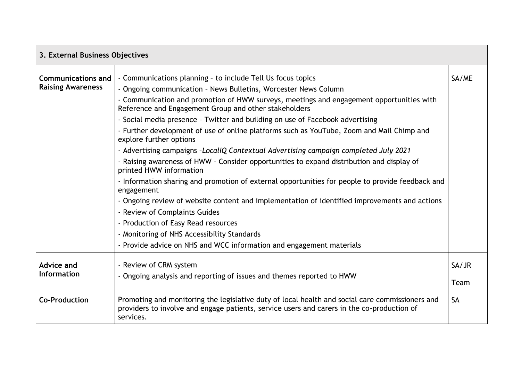| 3. External Business Objectives                       |                                                                                                                                                                                                            |           |  |  |  |  |
|-------------------------------------------------------|------------------------------------------------------------------------------------------------------------------------------------------------------------------------------------------------------------|-----------|--|--|--|--|
| <b>Communications and</b><br><b>Raising Awareness</b> | - Communications planning - to include Tell Us focus topics<br>SA/ME<br>- Ongoing communication - News Bulletins, Worcester News Column                                                                    |           |  |  |  |  |
|                                                       | - Communication and promotion of HWW surveys, meetings and engagement opportunities with<br>Reference and Engagement Group and other stakeholders                                                          |           |  |  |  |  |
|                                                       | - Social media presence - Twitter and building on use of Facebook advertising                                                                                                                              |           |  |  |  |  |
|                                                       | - Further development of use of online platforms such as YouTube, Zoom and Mail Chimp and<br>explore further options                                                                                       |           |  |  |  |  |
|                                                       | - Advertising campaigns -LocalIQ Contextual Advertising campaign completed July 2021                                                                                                                       |           |  |  |  |  |
|                                                       | - Raising awareness of HWW - Consider opportunities to expand distribution and display of<br>printed HWW information                                                                                       |           |  |  |  |  |
|                                                       | - Information sharing and promotion of external opportunities for people to provide feedback and<br>engagement                                                                                             |           |  |  |  |  |
|                                                       | - Ongoing review of website content and implementation of identified improvements and actions                                                                                                              |           |  |  |  |  |
|                                                       | - Review of Complaints Guides                                                                                                                                                                              |           |  |  |  |  |
|                                                       | - Production of Easy Read resources                                                                                                                                                                        |           |  |  |  |  |
|                                                       | - Monitoring of NHS Accessibility Standards                                                                                                                                                                |           |  |  |  |  |
|                                                       | - Provide advice on NHS and WCC information and engagement materials                                                                                                                                       |           |  |  |  |  |
| Advice and                                            | - Review of CRM system                                                                                                                                                                                     | SA/JR     |  |  |  |  |
| <b>Information</b>                                    | - Ongoing analysis and reporting of issues and themes reported to HWW                                                                                                                                      | Team      |  |  |  |  |
| <b>Co-Production</b>                                  | Promoting and monitoring the legislative duty of local health and social care commissioners and<br>providers to involve and engage patients, service users and carers in the co-production of<br>services. | <b>SA</b> |  |  |  |  |